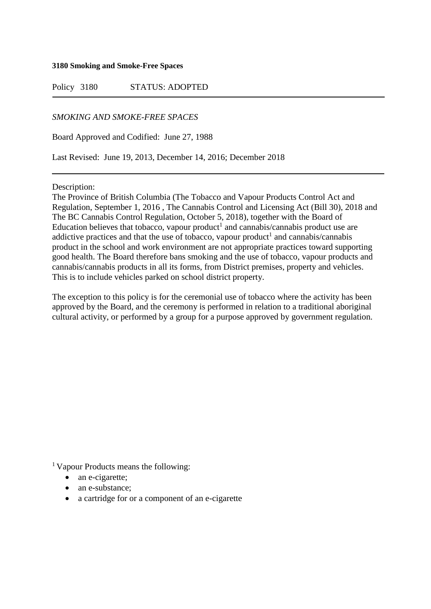## **3180 Smoking and Smoke-Free Spaces**

Policy 3180 STATUS: ADOPTED

*SMOKING AND SMOKE-FREE SPACES*

Board Approved and Codified: June 27, 1988

Last Revised: June 19, 2013, December 14, 2016; December 2018

Description:

The Province of British Columbia (The Tobacco and Vapour Products Control Act and Regulation, September 1, 2016 , The Cannabis Control and Licensing Act (Bill 30), 2018 and The BC Cannabis Control Regulation, October 5, 2018), together with the Board of Education believes that tobacco, vapour product<sup>1</sup> and cannabis/cannabis product use are addictive practices and that the use of tobacco, vapour product<sup>1</sup> and cannabis/cannabis product in the school and work environment are not appropriate practices toward supporting good health. The Board therefore bans smoking and the use of tobacco, vapour products and cannabis/cannabis products in all its forms, from District premises, property and vehicles. This is to include vehicles parked on school district property.

The exception to this policy is for the ceremonial use of tobacco where the activity has been approved by the Board, and the ceremony is performed in relation to a traditional aboriginal cultural activity, or performed by a group for a purpose approved by government regulation.

<sup>1</sup> Vapour Products means the following:

- an e-cigarette;
- an e-substance:
- a cartridge for or a component of an e-cigarette